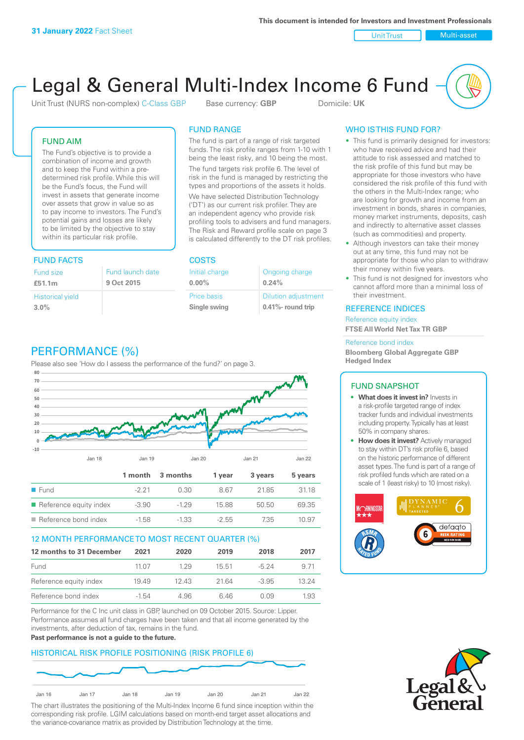Unit Trust Nulti-asset

# Legal & General Multi-Index Income 6 Fund

Unit Trust (NURS non-complex) C-Class GBP Base currency: **GBP** Domicile: UK

# FUND AIM

The Fund's objective is to provide a combination of income and growth and to keep the Fund within a predetermined risk profile. While this will be the Fund's focus, the Fund will invest in assets that generate income over assets that grow in value so as to pay income to investors. The Fund's potential gains and losses are likely to be limited by the objective to stay within its particular risk profile.

# FUND FACTS COSTS

| Fund size<br>£51.1m     | Fund launch date<br>9 Oct 2015 |
|-------------------------|--------------------------------|
| <b>Historical yield</b> |                                |
| $3.0\%$                 |                                |

# FUND RANGE

The fund is part of a range of risk targeted funds. The risk profile ranges from 1-10 with 1 being the least risky, and 10 being the most.

The fund targets risk profile 6. The level of risk in the fund is managed by restricting the types and proportions of the assets it holds. We have selected Distribution Technology ('DT') as our current risk profiler. They are an independent agency who provide risk profiling tools to advisers and fund managers. The Risk and Reward profile scale on page 3 is calculated differently to the DT risk profiles.

**0.00%**

| Initial charge | Ongoing charge             |
|----------------|----------------------------|
| $0.00\%$       | 0.24%                      |
| Price basis    | <b>Dilution adjustment</b> |
| Single swing   | 0.41%- round trip          |

# WHO IS THIS FUND FOR?

- This fund is primarily designed for investors: who have received advice and had their attitude to risk assessed and matched to the risk profile of this fund but may be appropriate for those investors who have considered the risk profile of this fund with the others in the Multi-Index range; who are looking for growth and income from an investment in bonds, shares in companies, money market instruments, deposits, cash and indirectly to alternative asset classes (such as commodities) and property.
- Although investors can take their money out at any time, this fund may not be appropriate for those who plan to withdraw their money within five years.
- This fund is not designed for investors who cannot afford more than a minimal loss of their investment.

# REFERENCE INDICES

Reference equity index **FTSE All World Net Tax TR GBP**

#### Reference bond index

**Bloomberg Global Aggregate GBP Hedged Index**

# FUND SNAPSHOT

- **• What does it invest in?** Invests in a risk-profile targeted range of index tracker funds and individual investments including property. Typically has at least 50% in company shares.
- **• How does it invest?** Actively managed to stay within DT's risk profile 6, based on the historic performance of different asset types. The fund is part of a range of risk profiled funds which are rated on a scale of 1 (least risky) to 10 (most risky).





# PERFORMANCE (%)

Please also see 'How do I assess the performance of the fund?' on page 3.



# 12 MONTH PERFORMANCE TO MOST RECENT QUARTER (%)

| 12 months to 31 December | 2021    | 2020 | 2019  | 2018    | 2017  |
|--------------------------|---------|------|-------|---------|-------|
| Fund                     | 11 07   | 129  | 15.51 | $-5.24$ | 9 71  |
| Reference equity index   | 1949    | 1243 | 2164  | $-3.95$ | 13 24 |
| Reference bond index     | $-1.54$ | 4.96 | 646   | O 0.9   | 1.93  |

Performance for the C Inc unit class in GBP, launched on 09 October 2015. Source: Lipper. Performance assumes all fund charges have been taken and that all income generated by the investments, after deduction of tax, remains in the fund.

#### **Past performance is not a guide to the future.**

# HISTORICAL RISK PROFILE POSITIONING (RISK PROFILE 6)



The chart illustrates the positioning of the Multi-Index Income 6 fund since inception within the corresponding risk profile. LGIM calculations based on month-end target asset allocations and the variance-covariance matrix as provided by Distribution Technology at the time.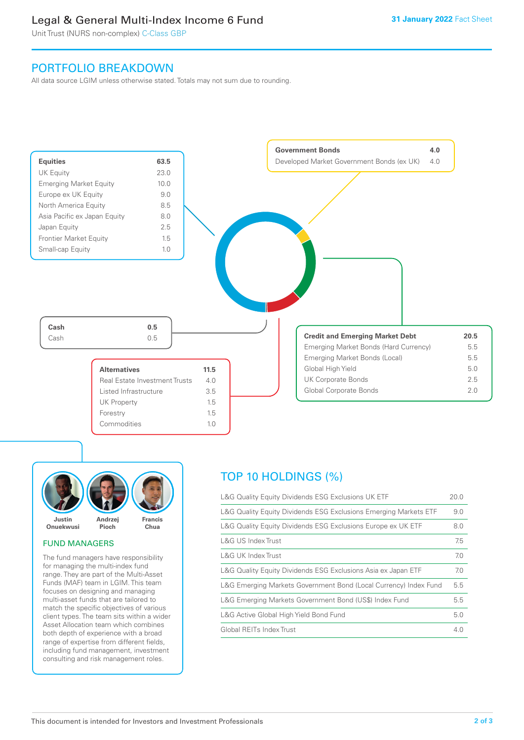# Legal & General Multi-Index Income 6 Fund

Unit Trust (NURS non-complex) C-Class GBP

# PORTFOLIO BREAKDOWN

All data source LGIM unless otherwise stated. Totals may not sum due to rounding.





# FUND MANAGERS

The fund managers have responsibility for managing the multi-index fund range. They are part of the Multi-Asset Funds (MAF) team in LGIM. This team focuses on designing and managing multi-asset funds that are tailored to match the specific objectives of various client types. The team sits within a wider Asset Allocation team which combines both depth of experience with a broad range of expertise from different fields, including fund management, investment consulting and risk management roles.

# TOP 10 HOLDINGS (%)

| L&G Quality Equity Dividends ESG Exclusions UK ETF               | 20.0 |
|------------------------------------------------------------------|------|
| L&G Quality Equity Dividends ESG Exclusions Emerging Markets ETF | 9.0  |
| L&G Quality Equity Dividends ESG Exclusions Europe ex UK ETF     | 8.0  |
| L&G US Index Trust                                               | 7.5  |
| L&G UK Index Trust                                               | 7.0  |
| L&G Quality Equity Dividends ESG Exclusions Asia ex Japan ETF    | 7.0  |
| L&G Emerging Markets Government Bond (Local Currency) Index Fund | 5.5  |
| L&G Emerging Markets Government Bond (US\$) Index Fund           | 5.5  |
| L&G Active Global High Yield Bond Fund                           | 5.0  |
| Global REITs Index Trust                                         | 4.0  |